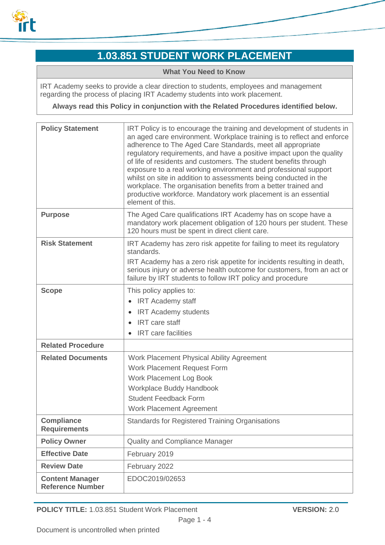

# **1.03.851 STUDENT WORK PLACEMENT**

#### **What You Need to Know**

IRT Academy seeks to provide a clear direction to students, employees and management regarding the process of placing IRT Academy students into work placement.

**Always read this Policy in conjunction with the Related Procedures identified below.**

| <b>Policy Statement</b>                           | IRT Policy is to encourage the training and development of students in<br>an aged care environment. Workplace training is to reflect and enforce<br>adherence to The Aged Care Standards, meet all appropriate<br>regulatory requirements, and have a positive impact upon the quality<br>of life of residents and customers. The student benefits through<br>exposure to a real working environment and professional support<br>whilst on site in addition to assessments being conducted in the<br>workplace. The organisation benefits from a better trained and<br>productive workforce. Mandatory work placement is an essential<br>element of this. |
|---------------------------------------------------|-----------------------------------------------------------------------------------------------------------------------------------------------------------------------------------------------------------------------------------------------------------------------------------------------------------------------------------------------------------------------------------------------------------------------------------------------------------------------------------------------------------------------------------------------------------------------------------------------------------------------------------------------------------|
| <b>Purpose</b>                                    | The Aged Care qualifications IRT Academy has on scope have a<br>mandatory work placement obligation of 120 hours per student. These<br>120 hours must be spent in direct client care.                                                                                                                                                                                                                                                                                                                                                                                                                                                                     |
| <b>Risk Statement</b>                             | IRT Academy has zero risk appetite for failing to meet its regulatory<br>standards.<br>IRT Academy has a zero risk appetite for incidents resulting in death,<br>serious injury or adverse health outcome for customers, from an act or<br>failure by IRT students to follow IRT policy and procedure                                                                                                                                                                                                                                                                                                                                                     |
| <b>Scope</b>                                      | This policy applies to:<br><b>IRT Academy staff</b><br><b>IRT Academy students</b><br><b>IRT</b> care staff<br><b>IRT</b> care facilities                                                                                                                                                                                                                                                                                                                                                                                                                                                                                                                 |
| <b>Related Procedure</b>                          |                                                                                                                                                                                                                                                                                                                                                                                                                                                                                                                                                                                                                                                           |
| <b>Related Documents</b>                          | Work Placement Physical Ability Agreement<br>Work Placement Request Form<br>Work Placement Log Book<br>Workplace Buddy Handbook<br><b>Student Feedback Form</b><br><b>Work Placement Agreement</b>                                                                                                                                                                                                                                                                                                                                                                                                                                                        |
| <b>Compliance</b><br><b>Requirements</b>          | Standards for Registered Training Organisations                                                                                                                                                                                                                                                                                                                                                                                                                                                                                                                                                                                                           |
| <b>Policy Owner</b>                               | Quality and Compliance Manager                                                                                                                                                                                                                                                                                                                                                                                                                                                                                                                                                                                                                            |
| <b>Effective Date</b>                             | February 2019                                                                                                                                                                                                                                                                                                                                                                                                                                                                                                                                                                                                                                             |
| <b>Review Date</b>                                | February 2022                                                                                                                                                                                                                                                                                                                                                                                                                                                                                                                                                                                                                                             |
| <b>Content Manager</b><br><b>Reference Number</b> | EDOC2019/02653                                                                                                                                                                                                                                                                                                                                                                                                                                                                                                                                                                                                                                            |

**POLICY TITLE:** 1.03.851 Student Work Placement **VERSION:** 2.0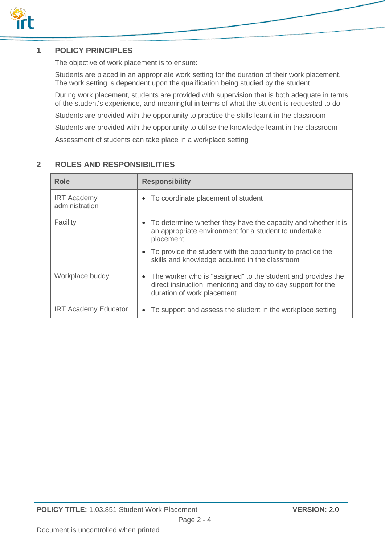

# **1 POLICY PRINCIPLES**

The objective of work placement is to ensure:

Students are placed in an appropriate work setting for the duration of their work placement. The work setting is dependent upon the qualification being studied by the student

During work placement, students are provided with supervision that is both adequate in terms of the student's experience, and meaningful in terms of what the student is requested to do

Students are provided with the opportunity to practice the skills learnt in the classroom

Students are provided with the opportunity to utilise the knowledge learnt in the classroom

Assessment of students can take place in a workplace setting

| <b>Role</b>                          | <b>Responsibility</b>                                                                                                                                                   |
|--------------------------------------|-------------------------------------------------------------------------------------------------------------------------------------------------------------------------|
| <b>IRT Academy</b><br>administration | To coordinate placement of student<br>$\bullet$                                                                                                                         |
| Facility                             | • To determine whether they have the capacity and whether it is<br>an appropriate environment for a student to undertake<br>placement                                   |
|                                      | • To provide the student with the opportunity to practice the<br>skills and knowledge acquired in the classroom                                                         |
| Workplace buddy                      | The worker who is "assigned" to the student and provides the<br>$\bullet$<br>direct instruction, mentoring and day to day support for the<br>duration of work placement |
| <b>IRT Academy Educator</b>          | To support and assess the student in the workplace setting<br>$\bullet$                                                                                                 |

# **2 ROLES AND RESPONSIBILITIES**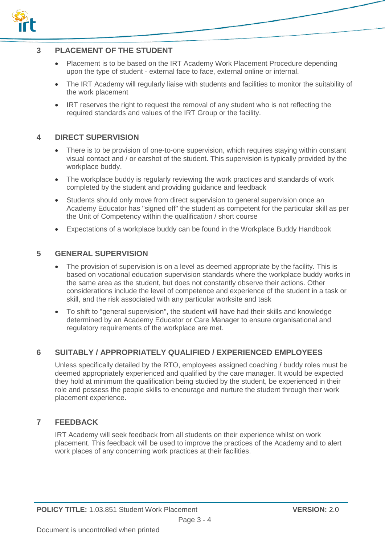

### **3 PLACEMENT OF THE STUDENT**

- Placement is to be based on the IRT Academy Work Placement Procedure depending upon the type of student - external face to face, external online or internal.
- The IRT Academy will regularly liaise with students and facilities to monitor the suitability of the work placement
- IRT reserves the right to request the removal of any student who is not reflecting the required standards and values of the IRT Group or the facility.

#### **4 DIRECT SUPERVISION**

- There is to be provision of one-to-one supervision, which requires staying within constant visual contact and / or earshot of the student. This supervision is typically provided by the workplace buddy.
- The workplace buddy is regularly reviewing the work practices and standards of work completed by the student and providing guidance and feedback
- Students should only move from direct supervision to general supervision once an Academy Educator has "signed off" the student as competent for the particular skill as per the Unit of Competency within the qualification / short course
- Expectations of a workplace buddy can be found in the Workplace Buddy Handbook

#### **5 GENERAL SUPERVISION**

- The provision of supervision is on a level as deemed appropriate by the facility. This is based on vocational education supervision standards where the workplace buddy works in the same area as the student, but does not constantly observe their actions. Other considerations include the level of competence and experience of the student in a task or skill, and the risk associated with any particular worksite and task
- To shift to "general supervision", the student will have had their skills and knowledge determined by an Academy Educator or Care Manager to ensure organisational and regulatory requirements of the workplace are met.

#### **6 SUITABLY / APPROPRIATELY QUALIFIED / EXPERIENCED EMPLOYEES**

Unless specifically detailed by the RTO, employees assigned coaching / buddy roles must be deemed appropriately experienced and qualified by the care manager. It would be expected they hold at minimum the qualification being studied by the student, be experienced in their role and possess the people skills to encourage and nurture the student through their work placement experience.

#### **7 FEEDBACK**

IRT Academy will seek feedback from all students on their experience whilst on work placement. This feedback will be used to improve the practices of the Academy and to alert work places of any concerning work practices at their facilities.